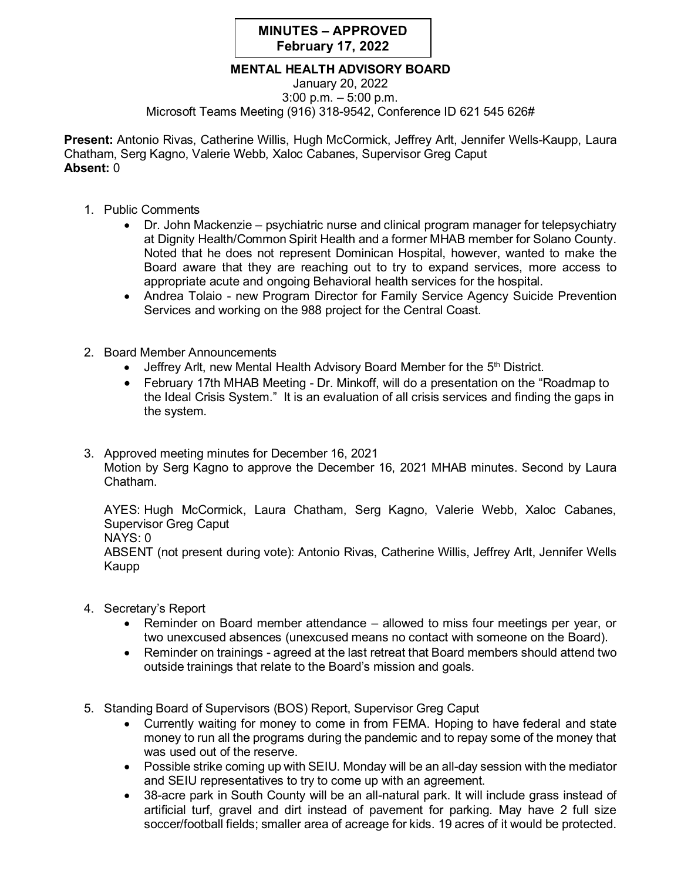## **MINUTES – APPROVED February 17, 2022**

## **MENTAL HEALTH ADVISORY BOARD**

January 20, 2022 3:00 p.m. – 5:00 p.m. Microsoft Teams Meeting (916) 318-9542, Conference ID 621 545 626#

**Present:** Antonio Rivas, Catherine Willis, Hugh McCormick, Jeffrey Arlt, Jennifer Wells-Kaupp, Laura Chatham, Serg Kagno, Valerie Webb, Xaloc Cabanes, Supervisor Greg Caput **Absent:** 0

- 1. Public Comments
	- Dr. John Mackenzie psychiatric nurse and clinical program manager for telepsychiatry at Dignity Health/Common Spirit Health and a former MHAB member for Solano County. Noted that he does not represent Dominican Hospital, however, wanted to make the Board aware that they are reaching out to try to expand services, more access to appropriate acute and ongoing Behavioral health services for the hospital.
	- Andrea Tolaio new Program Director for Family Service Agency Suicide Prevention Services and working on the 988 project for the Central Coast.
- 2. Board Member Announcements
	- Jeffrey Arlt, new Mental Health Advisory Board Member for the  $5<sup>th</sup>$  District.
	- February 17th MHAB Meeting Dr. Minkoff, will do a presentation on the "Roadmap to the Ideal Crisis System." It is an evaluation of all crisis services and finding the gaps in the system.
- 3. Approved meeting minutes for December 16, 2021 Motion by Serg Kagno to approve the December 16, 2021 MHAB minutes. Second by Laura Chatham.

AYES: Hugh McCormick, Laura Chatham, Serg Kagno, Valerie Webb, Xaloc Cabanes, Supervisor Greg Caput

NAYS: 0

ABSENT (not present during vote): Antonio Rivas, Catherine Willis, Jeffrey Arlt, Jennifer Wells Kaupp

- 4. Secretary's Report
	- Reminder on Board member attendance allowed to miss four meetings per year, or two unexcused absences (unexcused means no contact with someone on the Board).
	- Reminder on trainings agreed at the last retreat that Board members should attend two outside trainings that relate to the Board's mission and goals.
- 5. Standing Board of Supervisors (BOS) Report, Supervisor Greg Caput
	- Currently waiting for money to come in from FEMA. Hoping to have federal and state money to run all the programs during the pandemic and to repay some of the money that was used out of the reserve.
	- Possible strike coming up with SEIU. Monday will be an all-day session with the mediator and SEIU representatives to try to come up with an agreement.
	- 38-acre park in South County will be an all-natural park. It will include grass instead of artificial turf, gravel and dirt instead of pavement for parking. May have 2 full size soccer/football fields; smaller area of acreage for kids. 19 acres of it would be protected.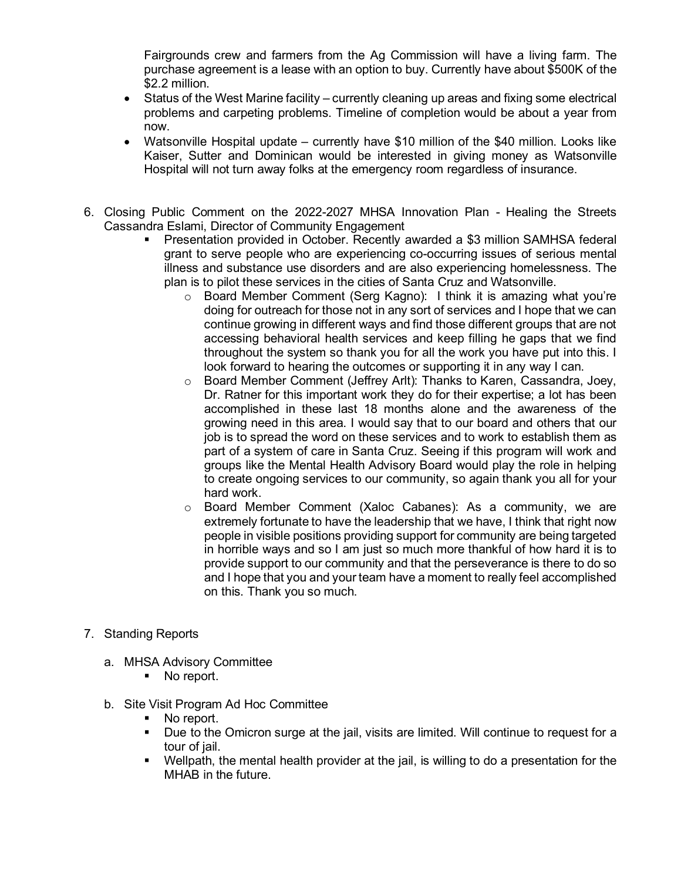Fairgrounds crew and farmers from the Ag Commission will have a living farm. The purchase agreement is a lease with an option to buy. Currently have about \$500K of the \$2.2 million.

- Status of the West Marine facility currently cleaning up areas and fixing some electrical problems and carpeting problems. Timeline of completion would be about a year from now.
- Watsonville Hospital update currently have \$10 million of the \$40 million. Looks like Kaiser, Sutter and Dominican would be interested in giving money as Watsonville Hospital will not turn away folks at the emergency room regardless of insurance.
- 6. Closing Public Comment on the 2022-2027 MHSA Innovation Plan Healing the Streets Cassandra Eslami, Director of Community Engagement
	- Presentation provided in October. Recently awarded a \$3 million SAMHSA federal grant to serve people who are experiencing co-occurring issues of serious mental illness and substance use disorders and are also experiencing homelessness. The plan is to pilot these services in the cities of Santa Cruz and Watsonville.
		- $\circ$  Board Member Comment (Serg Kagno): I think it is amazing what you're doing for outreach for those not in any sort of services and I hope that we can continue growing in different ways and find those different groups that are not accessing behavioral health services and keep filling he gaps that we find throughout the system so thank you for all the work you have put into this. I look forward to hearing the outcomes or supporting it in any way I can.
		- o Board Member Comment (Jeffrey Arlt): Thanks to Karen, Cassandra, Joey, Dr. Ratner for this important work they do for their expertise; a lot has been accomplished in these last 18 months alone and the awareness of the growing need in this area. I would say that to our board and others that our job is to spread the word on these services and to work to establish them as part of a system of care in Santa Cruz. Seeing if this program will work and groups like the Mental Health Advisory Board would play the role in helping to create ongoing services to our community, so again thank you all for your hard work.
		- o Board Member Comment (Xaloc Cabanes): As a community, we are extremely fortunate to have the leadership that we have, I think that right now people in visible positions providing support for community are being targeted in horrible ways and so I am just so much more thankful of how hard it is to provide support to our community and that the perseverance is there to do so and I hope that you and your team have a moment to really feel accomplished on this. Thank you so much.
- 7. Standing Reports
	- a. MHSA Advisory Committee
		- No report.
	- b. Site Visit Program Ad Hoc Committee
		- No report.
		- Due to the Omicron surge at the jail, visits are limited. Will continue to request for a tour of jail.
		- Wellpath, the mental health provider at the jail, is willing to do a presentation for the MHAB in the future.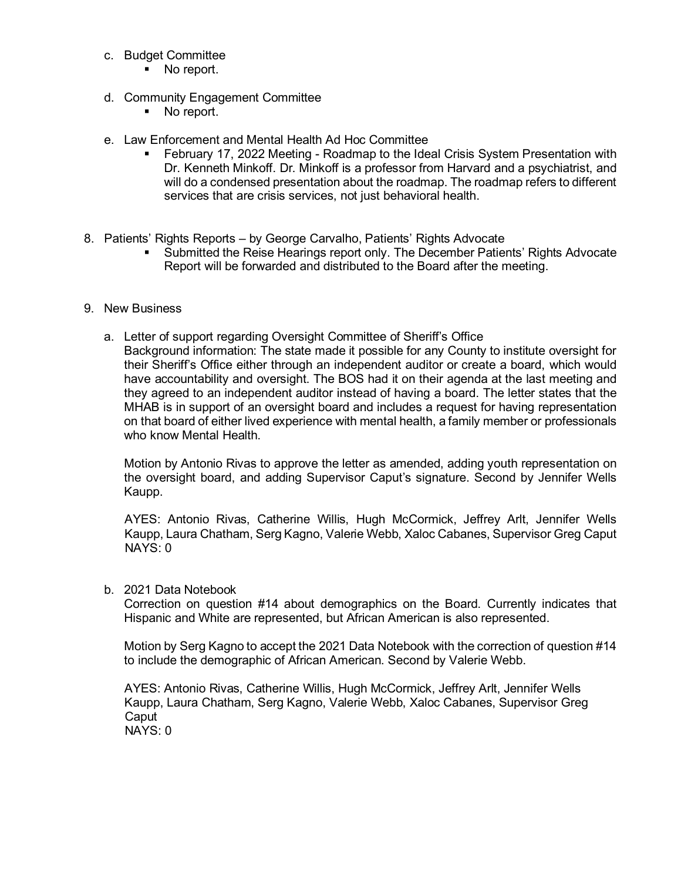- c. Budget Committee
	- No report.
- d. Community Engagement Committee
	- No report.
- e. Law Enforcement and Mental Health Ad Hoc Committee
	- February 17, 2022 Meeting Roadmap to the Ideal Crisis System Presentation with Dr. Kenneth Minkoff. Dr. Minkoff is a professor from Harvard and a psychiatrist, and will do a condensed presentation about the roadmap. The roadmap refers to different services that are crisis services, not just behavioral health.
- 8. Patients' Rights Reports by George Carvalho, Patients' Rights Advocate
	- Submitted the Reise Hearings report only. The December Patients' Rights Advocate Report will be forwarded and distributed to the Board after the meeting.
- 9. New Business
	- a. Letter of support regarding Oversight Committee of Sheriff's Office Background information: The state made it possible for any County to institute oversight for their Sheriff's Office either through an independent auditor or create a board, which would have accountability and oversight. The BOS had it on their agenda at the last meeting and they agreed to an independent auditor instead of having a board. The letter states that the MHAB is in support of an oversight board and includes a request for having representation on that board of either lived experience with mental health, a family member or professionals who know Mental Health.

Motion by Antonio Rivas to approve the letter as amended, adding youth representation on the oversight board, and adding Supervisor Caput's signature. Second by Jennifer Wells Kaupp.

 AYES: Antonio Rivas, Catherine Willis, Hugh McCormick, Jeffrey Arlt, Jennifer Wells Kaupp, Laura Chatham, Serg Kagno, Valerie Webb, Xaloc Cabanes, Supervisor Greg Caput NAYS: 0

## b. 2021 Data Notebook

Correction on question #14 about demographics on the Board. Currently indicates that Hispanic and White are represented, but African American is also represented.

Motion by Serg Kagno to accept the 2021 Data Notebook with the correction of question #14 to include the demographic of African American. Second by Valerie Webb.

 AYES: Antonio Rivas, Catherine Willis, Hugh McCormick, Jeffrey Arlt, Jennifer Wells Kaupp, Laura Chatham, Serg Kagno, Valerie Webb, Xaloc Cabanes, Supervisor Greg **Caput** NAYS: 0